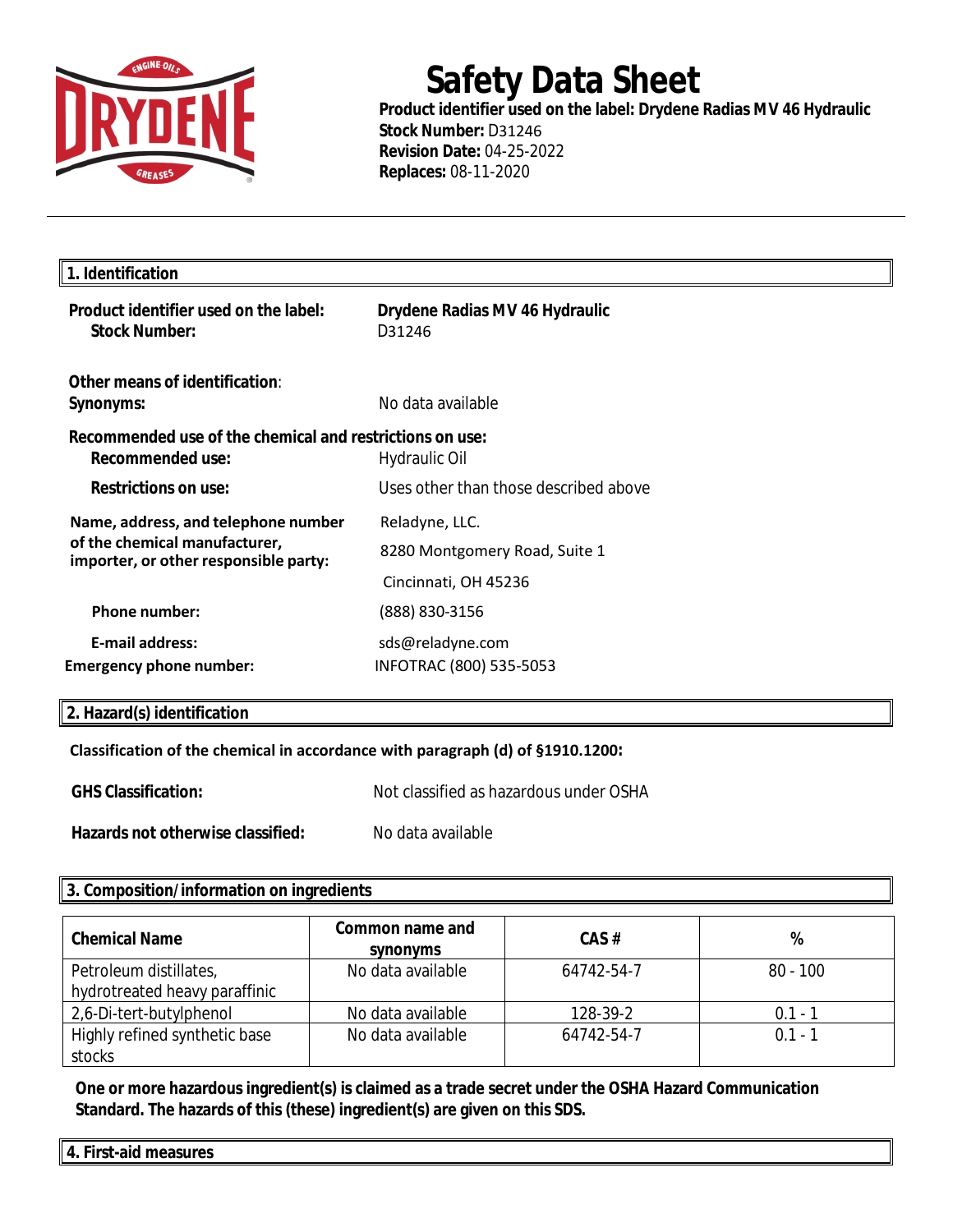

## **Safety Data Sheet**

**Product identifier used on the label: Drydene Radias MV 46 Hydraulic Stock Number:** D31246 **Revision Date:** 04-25-2022 **Replaces:** 08-11-2020

| 1. Identification                                                                                             |                                             |
|---------------------------------------------------------------------------------------------------------------|---------------------------------------------|
| Product identifier used on the label:<br><b>Stock Number:</b>                                                 | Drydene Radias MV 46 Hydraulic<br>D31246    |
| Other means of identification:<br>Synonyms:                                                                   | No data available                           |
| Recommended use of the chemical and restrictions on use:<br><b>Recommended use:</b>                           | Hydraulic Oil                               |
| <b>Restrictions on use:</b>                                                                                   | Uses other than those described above       |
| Name, address, and telephone number<br>of the chemical manufacturer,<br>importer, or other responsible party: | Reladyne, LLC.                              |
|                                                                                                               | 8280 Montgomery Road, Suite 1               |
|                                                                                                               | Cincinnati, OH 45236                        |
| <b>Phone number:</b>                                                                                          | (888) 830-3156                              |
| <b>E-mail address:</b><br><b>Emergency phone number:</b>                                                      | sds@reladyne.com<br>INFOTRAC (800) 535-5053 |

## **2. Hazard(s) identification**

## **Classification of the chemical in accordance with paragraph (d) of §1910.1200:**

| <b>GHS Classification:</b>        | Not classified as hazardous under OSHA |  |
|-----------------------------------|----------------------------------------|--|
| Hazards not otherwise classified: | No data available                      |  |

## **3. Composition/information on ingredients**

| <b>Chemical Name</b>          | Common name and<br>synonyms | CAS#       | %          |
|-------------------------------|-----------------------------|------------|------------|
| Petroleum distillates,        | No data available           | 64742-54-7 | $80 - 100$ |
| hydrotreated heavy paraffinic |                             |            |            |
| 2,6-Di-tert-butylphenol       | No data available           | 128-39-2   | 0.1 - 1    |
| Highly refined synthetic base | No data available           | 64742-54-7 | $01 - 1$   |
| stocks                        |                             |            |            |

**One or more hazardous ingredient(s) is claimed as a trade secret under the OSHA Hazard Communication Standard. The hazards of this (these) ingredient(s) are given on this SDS.**

**4. First-aid measures**